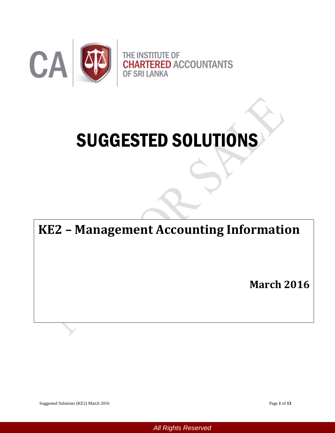

# SUGGESTED SOLUTIONS

**KE2 – Management Accounting Information**

**March 2016**

*All Rights Reserved*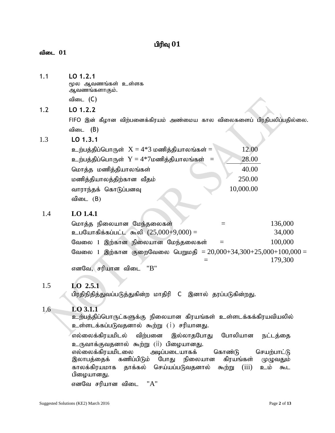# **பிரிவு 01**

#### விடை 01

1.3 **LO 1.3.1** உற்பத்திப்பொருள்  $X = 4*3$  மணித்தியாலங்கள்  $=$   $\sim$  12.00 உற்பத்திப்பொருள்  $Y = 4*7$ மணித்தியாலங்கள்  $=$  28.00  $\omega$ மாத்த மணித்தியாலங்கள் பார் $\omega_{\rm{max}}$  $\mu$ ணித்தியாலத்திற்கான வீதம்  $250.00$ வாராந்தக் கொடுப்பனவு $10,000.00$ விடை $(B)$ 1.4 **LO 1.4.1** 1.1 **LO 1.2.1** மூல ஆவணங்கள் உள்ளக ஆவணங்களாகும். விடை $(C)$ 1.2 **LO 1.2.2** FIFO இன் கீழான விற்பனைக்கிரயம் அண்மைய கால விலைகளைப் பிரதிபலிப்பதில்லை. விடை $(B)$ 

|                       | மொத்த நிலையான மேந்தலைகள்                |          | 136,000                                                         |
|-----------------------|-----------------------------------------|----------|-----------------------------------------------------------------|
|                       | உபயோகிக்கப்பட்ட கூலி $(25,000+9,000) =$ |          | 34,000                                                          |
|                       | வேலை 1 இற்கான நிலையான மேந்தலைகள்        | $\equiv$ | 100,000                                                         |
|                       |                                         |          | வேலை 1 இற்கான குறைவேலை பெறுமதி = 20,000+34,300+25,000+100,000 = |
|                       |                                         |          | 179,300                                                         |
| எனவே, சரியான விடை "B" |                                         |          |                                                                 |

## 1.5 **LO 2.5.1**

பிரதிநிதித்துவப்படுத்துகின்ற மாதிரி C இனால் தரப்படுகின்றது.

## 1.6 **LO 3.1.1**

உற்பத்திப்பொருட்களுக்கு நிலையான கிரயங்கள் உள்ளடக்கக்கிரயவியலில் உள்ளடக்கப்படுவதனால் கூற்று (1) சரியானது.

எல்லைக்கிரயமிடல் விற்பனை இல்லாதபோது போலியான நட்டத்தை உருவாக்குவதனால் கூற்று (ii) பிழையானது.<br>எல்லைக்கிரயமிடலை அடிப்படையாகக்

எல்லைக்கிரயமிடலை அடிப்படையாகக் கொண்டு செயற்பாட்டு<br>இலாபத்தைக் கணிப்பிடும் போது நிலையான கிரயங்கள் முழுவதும் போது நிலையான கிரயங்கள் முழுவதும் காலக்கிரயமாக தாக்கல் செய்யப்படுவதனால் கூற்று (iii) உம் கூட பிழையானது.

எனவே சரியான விடை  $A''$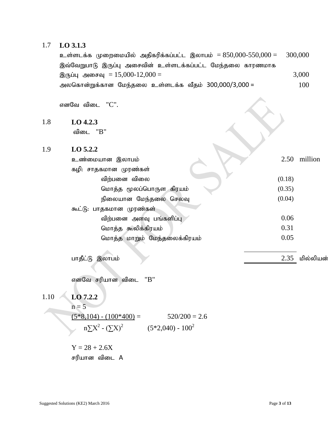## 1.7 **LO 3.1.3**

உள்ளடக்க முறைமையில் அதிகரிக்கப்பட்ட இலாபம் =  $850,000$ - $550,000 = 300,000$ இவ்வேறுபாடு இருப்பு அசைவின் உள்ளடக்கப்பட்ட மேந்தலை காரணமாக இருப்பு அசைவு  $= 15,000-12,000 =$  3,000 அலகொன்றுக்கான மேந்தலை உள்ளடக்க வீதம்  $300,000/3,000 =$   $100$ 

எனவே விடை  $"C"$ .

1.8 **LO 4.2.3**

விடை $B''$ 

#### 1.9 **LO 5.2.2**

| உண்மையான இலாபம்              | 2.50 million |
|------------------------------|--------------|
| கழி: சாதகமான முரண்கள்        |              |
| விற்பனை விலை                 | (0.18)       |
| மொத்த மூலப்பொருள கிரயம்      | (0.35)       |
| நிலையான மேந்தலை செலவு        | (0.04)       |
| கூட்டு: பாதகமான முரண்கள்     |              |
| விற்பனை அளவு பங்களிப்பு      | 0.06         |
| மொத்த கூலிக்கிரயம்           | 0.31         |
| மொத்த மாறும் மேந்தலைக்கிரயம் | 0.05         |
|                              |              |

ghjPl;L ,yhgk; 2.35 kpy;ypad ;

எனவே சரியான விடை  $"B"$ 

1.10 **LO 7.2.2**

 $n = 5$  $(5*8,104) - (100*400) =$  520/200 = 2.6  $n\Sigma X^2 - (\Sigma X)^2$  $(5*2,040) - 100^2$ 

 $Y = 28 + 2.6X$ சரியான விடை A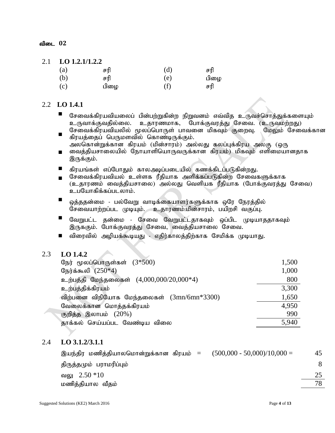## 2.1 **LO 1.2.1/1.2.2**

| (a) | சரி  | (d) | சரி  |
|-----|------|-----|------|
| (b) | சரி  | (e) | பிழை |
| (c) | பிழை | (f) | சரி  |

#### 2.2 **LO 1.4.1**

- சேவைக்கிரயவியலைப் பின்பற்றுகின்ற நிறுவனம் எவ்வித உருவச்சொத்துக்களையும் உருவாக்குவதில்லை. உதாரணமாக, போக்குவரத்து சேவை. (உருவமற்றது) சேவைக்கிரயவியலில் மூலப்பொருள் பாவனை மிகவும் குறைவு. மேலும் சேவைக்கான
- கிரயத்தைப் பெருமளவில் கொண்டிருக்கும். அலகொன்றுக்கான கிரயம் (மின்சாரம்) அல்லது கலப்புக்கிரய அலகு (ஒரு
- வைத்தியசாலையில் நோயாளியொருவருக்கான கிரயம்) மிகவும் எளிமையானதாக இருக்கும்.
- கிரயங்கள் எப்போதும் காலஅடிப்படையில் கணக்கிடப்படுகின்றது.
- சேவைக்கிரயவியல் உள்ளக ரீதியாக அளிக்கப்படுகின்ற சேவைகளுக்காக (உதாரணம் வைத்தியசாலை) அல்லது வெளியக ரீதியாக (போக்குவரத்து சேவை) உபயோகிக்கப்படலாம்.
- $\blacksquare$  ஒத்ததன்மை பல்வேறு வாடிக்கையாளர்களுக்காக ஒரே நேரத்தில் சேவையாற்றப்பட முடியும். உதாரணம்:மின்சாரம், பயிறசி வகுப்பு.
- வேறுபட்ட தன்மை சேவை வேறுபட்டதாகவும் ஒப்பிட முடியாததாகவும் இருககும். போக்குவரத்து சேவை, வைத்தியசாலை சேவை.
- விரைவில் அழியக்கூடியது எதிர்காலத்திற்காக சேமிக்க முடியாது.

## 2.3 **LO 1.4.2**

| நேர் மூலப்பொருள்கள் $(3*500)$              | 1,500 |
|--------------------------------------------|-------|
| நேர்க்கூலி (250*4)                         | 1,000 |
| உற்பத்தி மேந்தலைகள் $(4,000,000/20,000*4)$ | 800   |
| உற்பத்திக்கிரயம்                           | 3,300 |
| விற்பனை விநியோக மேந்தலைகள் (3mn/6mn*3300)  | 1,650 |
| வேலைக்கான மொத்தக்கிரயம்                    | 4,950 |
| குறித்த இலாபம் (20%)                       | 990   |
| தாக்கல் செய்யப்பட வேண்டிய விலை             | 5.940 |

#### 2.4 **LO 3.1.2/3.1.1**

| $(500,000 - 50,000)/10,000 =$<br>இயந்திர மணித்தியாலமொன்றுக்கான கிரயம் = | 45 |
|-------------------------------------------------------------------------|----|
| திருத்தமும் பராமரிப்பும்                                                |    |
| வலு $2.50 * 10$                                                         |    |
| மணித்தியால வீதம்                                                        | 78 |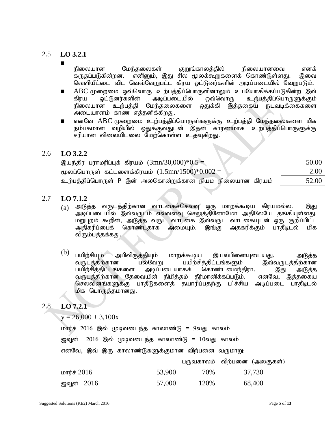# 2.5 **LO 3.2.1** ■

- நிலையான மேந்தலைகள் குறுங்காலத்தில் நிலையானவை எனக்<br>கருதப்படுகின்றன. எனினும், இது சில மூலக்கூறுகளைக் கொண்டுள்ளது. இவை எனினும், இது சில மூலக்கூறுகளைக் கொண்டுள்ளது. இவை வெளியீட்டை விட வெவ்வேறுபட்ட கிரய ஓட்டுனர்களின் அடிப்படையில் வேறுபடும்.
- $\rm ABC$  முறைமை ஒவ்வொரு உற்பத்திப்பொருளினாலும் உபயோகிக்கப்படுகின்ற இவ்<br>கிரய ஒட்டுனர்களின் அடிப்படையில் ஒவ்வொரு உற்பத்திப்பொருளுக்கும் கிரய ஓட்டுனர்களின் அடிப்படையில் ஒவ்வொரு உற்பத்திப்பொருளுக்கும்<br>நிலையான உற்பத்தி மேந்தலைகளை ஒதுக்கி இத்தகைய நடவடிக்கைகளை இத்தகைய நடவடிக்கைகளை அடையாளம் காண எத்தனிக்கிறது.
- எனவே ABC முறைமை உற்பத்திப்பொருள்களுக்கு உற்பத்தி மேந்தலைகளை மிக நம்பகமான வழியில் ஒதுக்குவதுடன் இதன் காரணமாக உற்பத்திப்பொருளுக்கு சரியான விலையிடலை மேற்கொள்ள உதவுகிறது.

#### 2.6 **LO 3.2.2**

| இயந்திர பராமரிப்புக் கிரயம் $(3mn/30,000)*0.5 =$             | 50.00 |
|--------------------------------------------------------------|-------|
| மூலப்பொருள் கட்டளைக்கிரயம் $(1.5\text{mn}/1500)$ * $0.002 =$ | 2.00  |
| உற்பத்திப்பொருள் P இன் அலகொன்றுக்கான நியம நிலையான கிரயம்     | 52.00 |

#### 2.7 **LO 7.1.2**

- $\left( \begin{matrix}a\end{matrix} \right)$  அடுத்த வருடத்திற்கான வாடகைச்செலவு ஒரு மாறக்கூடிய கிரயமல்ல. இது அடிப்படையில் இவ்வருடம் எவ்வளவு செலுத்தினோமோ அதிலேயே தங்கியுள்ளது. மறுபுறம் கூறின், அடுத்த வருட வாடகை இவ்வருட வாடகையுடன் ஒரு குறிப்பிட்ட<br>அதிகரிப்பைக் கொண்டதாக அமையும். இங்கு அதகரிக்கும் பாதீடிடல் மிக அதிகரிப்பைக் கொண்டதாக அமையும். இங்கு அதகரிக்கும் பாதீடிடல் மிக விரும்பத்தக்கது.
- $^{(b)}$  பயிற்சியும் அபிவிருத்தியும் மாறக்கூடிய இயல்பினையுடையது. அடுத்த<br>வருடக்கிற்கான பல்வேறு பயிற்சிக்கிட்டங்களும் இவ்வருடக்கிற்கான பயிற்சித்திட்டங்களும் இவ்வருடத்திற்கான பயிற்சித்திட்டங்களை அடிப்படையாகக் கொண்டமைந்திரா. இது அடுத்த வருடத்திற்கான தேவையின் நிமித்தம் தீர்மானிக்கப்படும். எனவே, இத்தகைய<br>செலவினங்களுக்கு பாகீடுகளைக் கயாரிப்பகற்கு ப'ச்சிய அடிப்படை பாகீடிடல் செலவினங்களுக்கு பாதீடுகளைத் தயாரிப்பதற்கு ப'ச்சிய அடிப்படை மிக பொருத்தமானது.

#### 2.8 **LO 7.2.1**

 $y = 26,000 + 3,100x$ 

மார்ச் 2016 இல் முடிவடைந்த காலாண்டு = 9வது காலம் ஜவூன்  $2016$  இல் முடிவடைந்த காலாண்டு =  $10$ வது காலம்

எனவே, இவ் இரு காலாண்டுகளுக்குமான விற்பனை வருமாறு:

|               |        |      | பருவகாலம் விற்பனை (அலகுகள்) |
|---------------|--------|------|-----------------------------|
| மார்ச் $2016$ | 53,900 | 70%  | 37,730                      |
| ஜவூன் 2016    | 57,000 | 120% | 68,400                      |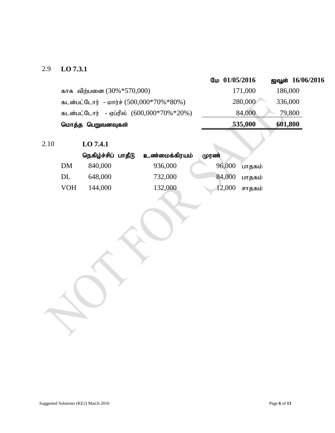# 2.9 **LO 7.3.1**

|                                          | மே 01/05/2016 | ஜவூன் 16/06/2016 |  |
|------------------------------------------|---------------|------------------|--|
| காசு விற்பனை (30% *570,000)              | 171,000       | 186,000          |  |
| கடன்பட்டோர் - மார்ச் (500,000*70%*80%)   | 280,000       | 336,000          |  |
| கடன்பட்டோர் - ஏப்ரில் $(600,000*70*20%)$ | 84,000        | 79,800           |  |
| மொத்த பெறுவனவுகள்                        | 535,000       | 601,800          |  |
|                                          |               |                  |  |

2.10 **LO 7.4.1**

|            | நெகிழ்ச்சிப் பாதீடு | உண்மைக்கிரயம் | முரண்         |                 |
|------------|---------------------|---------------|---------------|-----------------|
| DM         | 840,000             | 936,000       | 96,000 பாதகம் |                 |
| DL         | 648,000             | 732,000       | 84,000 பாதகம் |                 |
| <b>VOH</b> | 144,000             | 132,000       |               | $12,000$ சாதகம் |

).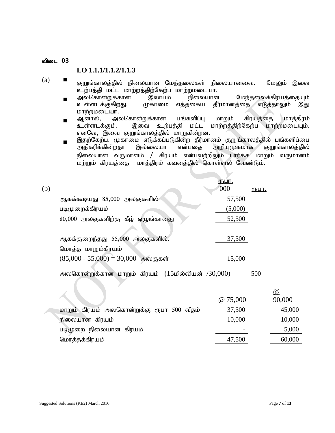(b)

## **LO 1.1.1/1.1.2/1.1.3**

- $\mathbf{u}^{(a)}$   $\blacksquare$  குறுங்காலத்தில் நிலையான மேந்தலைகள் நிலையானவை. மேலும் இவை உற்பத்தி மட்ட மாற்றத்திற்கேற்ப மாற்றமடையா.<br>அலகொன்றுக்கான இலாபம் நிலையான
	- ூலாபம் நிலையான மேந்தலைக்கிரயத்தையும்<br>முகாமை எத்தகைய தீர்மானத்தை எடுத்தாலும் இது உள்ளடக்குகிறது. மாற்றமடையா.
	- ஆனால், அலகொன்றுக்கான பங்களிப்பு மாறும் கிரயத்தை மாத்திரம்<br>உள்ளடக்கும். இவை உற்பத்தி மட்ட மாற்றத்திற்கேற்ப மாற்றமடையும். மாற்றத்திற்கேற்ப மாற்றமடையும். எனவே, இவை குறுங்காலத்தில் மாறுகின்றன.
	- இதற்கேற்ப. முகாமை எடுக்கப்படுகின்ற தீர்மானம் குறுங்காலத்தில் பங்களிப்பை<br>அதிகரிக்கின்றதா இல்லையா என்பதை அறியுமுகமாக குறுங்காலத்தில் அதிகரிக்கின்றதா நிலையான வருமானம் / கிரயம் என்பவற்றிலும் பார்க்க மாறும் வருமானம்<br>மற்றும் கிரயத்தை மாத்திரம் கவனத்தில் கொள்ளல் வேண்டும். மாத்திரம் கவனத்தில் கொள்ளல் வேண்டும்.

|                                      | <u>ரூபா.</u><br>'000 | <u>ரூபா.</u> |
|--------------------------------------|----------------------|--------------|
| ஆகக்கூடியது 85,000 அலகுகளில்         | 57,500               |              |
| படிமுறைக்கிரயம்                      | (5,000)              |              |
| 80,000 அலகுகளிற்கு கீழ் ஒழுங்கானது   | 52,500               |              |
|                                      |                      |              |
| ஆகக்குறைந்தது 55,000 அலகுகளில்.      | 37,500               |              |
| மொத்த மாறும்கிரயம்                   |                      |              |
| $(85,000 - 55,000) = 30,000$ அலகுகள் | 15,000               |              |
|                                      |                      |              |

அலகொன்றுக்கான மாறும் கிரயம்  $(15$ மில்லியன்  $/30,000)$ 500

|                                           |         | $^{\textregistered}$ |
|-------------------------------------------|---------|----------------------|
|                                           | @75,000 | 90,000               |
| மாறும் கிரயம் அலகொன்றுக்கு ரூபா 500 வீதம் | 37,500  | 45,000               |
| நிலையான கிரயம்                            | 10,000  | 10,000               |
| படிமுறை நிலையான கிரயம்                    |         | 5,000                |
| மொத்தக்கிரயம்                             | 47,500  | 60,000               |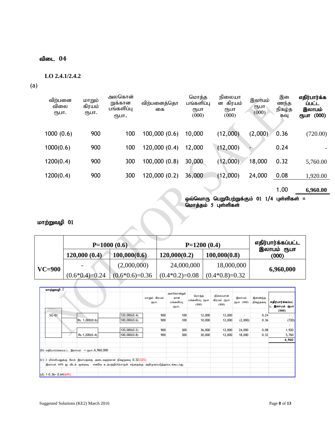## **LO 2.4.1/2.4.2**

(a)

| விற்பனை<br>விலை<br>(ҦШТ. | மாறும்<br>கிரயம்<br>(ҦШТ. | அலகொன்<br>றுக்கான<br>பங்களிப்பு<br>(ҦШТ. | விற்பனைத்தொ<br>கை | மொத்த<br>பங்களிப்பு<br>(ҦШП<br>(000) | நிலையா<br>ன கிரயம்<br>₹ҦШП<br>(000) | இலாபம்<br>₹ҦШП<br>(000) | இவை<br>ணந்த<br>நிகழ்த<br>கவு | எதிர்பார்க்க<br><b>ÙULL</b><br>இலாபம்<br>ரூபா (000) |
|--------------------------|---------------------------|------------------------------------------|-------------------|--------------------------------------|-------------------------------------|-------------------------|------------------------------|-----------------------------------------------------|
| 1000(0.6)                | 900                       | 100                                      | 100,000(0.6)      | 10,000                               | (12,000)                            | (2,000)                 | 0.36                         | (720.00)                                            |
| 1000(0.6)                | 900                       | 100                                      | 120,000 (0.4)     | 12,000                               | (12,000)                            |                         | 0.24                         |                                                     |
| 1200(0.4)                | 900                       | 300                                      | 100,000(0.8)      | 30,000                               | (12,000)                            | 18,000                  | 0.32                         | 5,760.00                                            |
| 1200(0.4)                | 900                       | 300                                      | 120,000 (0.2)     | 36,000                               | (12,000)                            | 24,000                  | 0.08                         | 1,920.00                                            |
|                          |                           |                                          |                   |                                      |                                     |                         | 1.00                         | 6,960.00                                            |

1.00 ஒவ்வொரு பெறுபேற்றுக்கும் 01 1/4 புள்ளிகள் = மொத்தம் 5 புள்ளிகள்

## மாற்றுவழி $01$

|             | $P=1000(0.6)$    | $P=1200(0.4)$    |                                        |                              |                        | எதிர்பார்க்கப்பட்ட<br>இலாபம் ரூபா |           |                   |  |
|-------------|------------------|------------------|----------------------------------------|------------------------------|------------------------|-----------------------------------|-----------|-------------------|--|
|             | 120,000(0.4)     | 100,000(0.6)     |                                        | 100,000(0.8)<br>120,000(0.2) |                        |                                   | (000)     |                   |  |
| $VC=900$    |                  | (2,000,000)      | 24,000,000                             |                              | 18,000,000             |                                   | 6,960,000 |                   |  |
|             | $(0.6*0.4)=0.24$ | $(0.6*0.6)=0.36$ | $(0.4*0.2)=0.08$                       |                              | $(0.4*0.8)=0.32$       |                                   |           |                   |  |
|             |                  |                  |                                        |                              |                        |                                   |           |                   |  |
| மாற்றுவழி 2 |                  | மாறும் கிரயம்    | அலகொன்றுக்<br>கான<br>المسترهب للمتعدين | மொத்த<br>பங்களிப்பு ரூபா     | நிலையான<br>கிரயம் ரூபா | இலாபம்<br>$(0.000)$ $(0.1)$       | இணைந்த    | المستبطئة فسيشاهض |  |

| VC=900                   |                                                   |                                                                      |                          |                                            |                                   |                                 |                          |                     | 6,960,000                                   |
|--------------------------|---------------------------------------------------|----------------------------------------------------------------------|--------------------------|--------------------------------------------|-----------------------------------|---------------------------------|--------------------------|---------------------|---------------------------------------------|
|                          | $(0.6*0.4)=0.24$                                  | $(0.6*0.6)=0.36$ $(0.4*0.2)=0.08$ $(0.4*0.8)=0.32$                   |                          |                                            |                                   |                                 |                          |                     |                                             |
|                          |                                                   |                                                                      |                          |                                            |                                   |                                 |                          |                     |                                             |
| மாற்றுவழி 2              |                                                   |                                                                      |                          |                                            |                                   |                                 |                          |                     |                                             |
|                          |                                                   |                                                                      | மாறும் கிரயம்<br>(ПУЦПТ. | அலகொன்றுக்<br>கான<br>பங்களிப்பு<br>стъціт. | மொக்க<br>பங்களிப்பு ரூபா<br>(000) | நிலையான<br>கிரயம் ரூபா<br>(000) | இலாபம்<br>(Пушт (000)    | இணைந்த<br>நிகழ்தகவு | எதிர்பார்க்கப்பட்<br>ட இலாபம் ரூபா<br>(000) |
| $SG-01$                  |                                                   | 120,000(0.4)                                                         | 900                      | 100                                        |                                   | 12,000<br>12,000                | $\overline{\phantom{a}}$ | 0.24                | $\overline{\phantom{a}}$                    |
|                          | Rs. 1,000(0.6)                                    | 100,000(0.6)                                                         | 900                      | 100                                        | 10,000                            | 12,000                          | (2,000)                  | 0.36                | (720)                                       |
|                          |                                                   |                                                                      |                          |                                            |                                   |                                 |                          |                     |                                             |
|                          |                                                   | 120,000(0.2)                                                         | 900                      | 300                                        | 36,000                            | 12,000                          | 24,000                   | 0.08                | 1,920                                       |
|                          | Rs.1,200(0.4)                                     | 100,000(0.8)                                                         | 900                      | 300                                        | 30,000                            | 12,000                          | 18,000                   | 0.32                | 5,760                                       |
|                          |                                                   |                                                                      |                          |                                            |                                   |                                 |                          |                     | 6,960                                       |
|                          | $($ b) எதிர்பார்க்கப்பட்ட இலாபம் = ரூபா.6,960,000 |                                                                      |                          |                                            |                                   |                                 |                          |                     |                                             |
|                          |                                                   |                                                                      |                          |                                            |                                   |                                 |                          |                     |                                             |
|                          |                                                   | $(C)$ 2 மில்லியனுக்கு மேல் இலாபத்தை அடைவதற்கான நிகழ்தகவு $0.32(32%)$ |                          |                                            |                                   |                                 |                          |                     |                                             |
|                          | இலாபம் 60% ஐ விடக் குறைவு.                        | எனவே உற்பத்திப்பொருள் சந்தைக்கு அறிமுகப்படுத்தப்படக்கூடாது.          |                          |                                            |                                   |                                 |                          |                     |                                             |
| $ (d)$ 1-0.36= 0.64(64%) |                                                   |                                                                      |                          |                                            |                                   |                                 |                          |                     |                                             |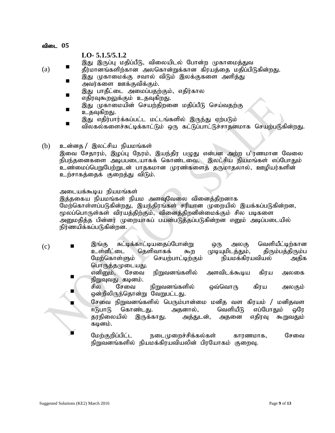#### **LO- 5.1.5/5.1.2**

இது இருப்பு மதிப்பீடு, விலையிடல் போன்ற முகாமைத்துவ

- $(a)$ தீர்மானங்களிற்கான அலகொன்றுக்கான கிரயத்தை மதிப்பிடுகின்றது.
	- இது முகாமைக்கு சவால் விடும் இலக்குகளை அளித்து
	- அவர்களை ஊக்குவிக்கும்.
	- இது பாதீட்டை அமைப்பதற்கும், எதிர்கால
	- எதிரவுகூறலுக்கும் உதவுகிறது.
	- இது முகாமையின் செயற்திறனை மதிப்பீடு செய்வதற்கு
	- உதவுகிறது.
	- இது எதிர்பார்க்கப்பட்ட மட்டங்களில் இருந்து ஏற்படும்
	- விலகல்களைச்சுட்டிக்காட்டும் ஒரு கட்டுப்பாட்டுச்சாதனமாக செயற்படுகின்றது.
- $(b)$  உன்னத / இலட்சிய நியமங்கள்

இவை சேதாரம், இழப்பு நேரம், இயந்திர பழுது என்பன அற்ற ப'ரணமான வேலை நிபந்தனைகளை அடிபபடையாகக் கொண்டவை. இலட்சிய நியமங்கள் எப்போதும் உண்மைப்பெறுபேற்றுடன் பாதகமான முரண்களைத் தருமாதலால், ஊழியர்களின் உற்சாகத்தைக் குறைத்து விடும்.

அடையக்கூடிய நியமங்கள்

இத்தகைய நியமங்கள் நியம அளவுவேலை வினைத்திறனாக மேற்கொள்ளப்படுகின்றது, இயந்திரங்கள் சரியான முறையில் இயக்கப்படுகின்றன, மூலப்பொருள்கள் விரயத்திற்கும், வினைத்திறனின்மைக்கும் சில படிகளை அனுமதித்த பின்னர் முறையாகப் பயன்படுத்தப்படுகின்றன எனும் அடிப்படையில் நிர்ணயிக்கப்படுகின்றன.

- (c) இங்கு சுட்டிக்காட்டியதைப்போன்று ஒரு அலகு வெளியீட்டிற்கான<br>உள்ளீட்டை தெளிவாகக் கூற முடியுமிடத்தும், திரும்பத்திரும்ப உள்ளீட்டை தெளிவாகக் கூற முடியுமிடத்தும், திரும்பத்திரும்ப<br>மேற்கொள்ளும் செயற்பாட்டிற்கும் நியமக்கிரயவியல் அதிக செயற்பாட்டிற்கும் நியமக்கிரயவியல் அதிக பொருக்கமுடையது.
	- எனினும், சேவை நிறுவனங்களில் அளவிடக்கூடிய கிரய அலகை நிறுவுவது கடினம்.<br>சில சேவை
	- நிறுவனங்களில் ஒவ்வொரு கிரய அலகும் ஒன்றிலிருந்தொன்று வேறுபட்டது.
		- சேவை நிறுவனங்களில் பெரும்பான்மை மனித வள கிரயம் / மனிதவள ஈடுபாடு கொண்டது. அதனால், வெளியீடு எப்போதும் ஒரே<br>தாநிலையில் இருக்காது. அக்துடன், அதனை எதிரவு கூறுவதும் இருக்காது. அத்துடன், அதனை எதிரவு கூறுவதும் கடினம்.
			- மேற்குறிப்பிட்ட நடைமுறைச்சிக்கல்கள் காரணமாக, சேவை நிறுவனங்களில் நியமக்கிரயவியலின் பிரயோகம் குறைவு.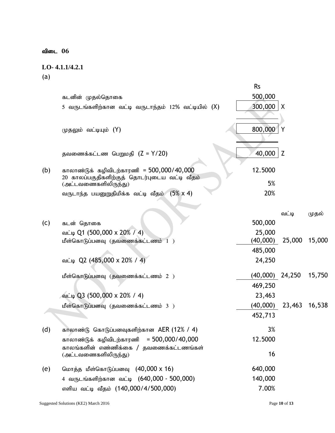## **LO- 4.1.1/4.2.1**

(a)

|     |                                                     | <b>Rs</b>         |              |        |
|-----|-----------------------------------------------------|-------------------|--------------|--------|
|     | கடனின் முதல்தொகை                                    | 500,000           |              |        |
|     | 5 வருடங்களிற்கான வட்டி வருடாந்தம் 12% வட்டியில் (X) | 300,000           | $\mathsf{X}$ |        |
|     |                                                     |                   |              |        |
|     | முதலும் வட்டியும் (Y)                               | 800,000           |              |        |
|     |                                                     |                   |              |        |
|     |                                                     |                   |              |        |
|     | தவணைக்கட்டண பெறுமதி (Z = Y/20)                      | 40,000            | Z            |        |
| (b) | காலாண்டுக் கழிவிடற்காரணி = 500,000/40,000           | 12.5000           |              |        |
|     | 20 காலப்பகுதிகளிற்குத் தொடர்புடைய வட்டி வீதம்       | 5%                |              |        |
|     | (அட்டவணைகளிலிருந்து)                                | 20%               |              |        |
|     | வருடாந்த பயனுறுதிமிக்க வட்டி வீதம் (5% x 4)         |                   |              |        |
|     |                                                     |                   |              |        |
|     |                                                     | 500,000           | வட்டி        | முதல்  |
| (c) | கடன் தொகை<br>வட்டி Q1 (500,000 x 20% / 4)           | 25,000            |              |        |
|     | மீள்கொடுப்பனவு (தவணைக்கட்டணம் 1 )                   | (40,000)          | 25,000       | 15,000 |
|     |                                                     | 485,000           |              |        |
|     | வட்டி Q2 (485,000 x 20% / 4)                        | 24,250            |              |        |
|     |                                                     |                   |              |        |
|     | மீள்கொடுப்பனவு (தவணைக்கட்டணம் 2 )                   | (40,000) 24,250   |              | 15,750 |
|     |                                                     | 469,250           |              |        |
|     | வட்டி Q3 (500,000 x 20% / 4)                        | 23,463            |              |        |
|     | மீள்கொடுப்பனவு (தவணைக்கட்டணம் 3 )                   | $(40,000)$ 23,463 |              | 16,538 |
|     |                                                     | 452,713           |              |        |
| (d) | காலாண்டு கொடுப்பனவுகளிற்கான AER (12% / 4)           | 3%                |              |        |
|     | காலாண்டுக் கழிவிடற்காரணி = 500,000/40,000           | 12.5000           |              |        |
|     | காலங்களின் எண்ணிக்கை / தவணைக்கட்டணங்கள்             |                   |              |        |
|     | (அட்டவணைகளிலிருந்து)                                | 16                |              |        |
| (e) | மொத்த மீள்கொடுப்பனவு (40,000 x 16)                  | 640,000           |              |        |
|     | 4 வருடங்களிற்கான வட்டி (640,000 - 500,000)          | 140,000           |              |        |
|     | எளிய வட்டி வீதம் (140,000/4/500,000)                | 7.00%             |              |        |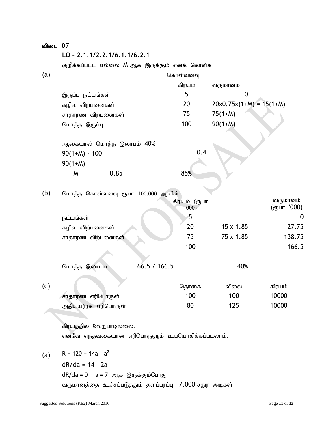| விடை | 07                                                      |                  |                      |                  |                                                  |  |  |  |  |
|------|---------------------------------------------------------|------------------|----------------------|------------------|--------------------------------------------------|--|--|--|--|
|      | LO - 2.1.1/2.2.1/6.1.1/6.2.1                            |                  |                      |                  |                                                  |  |  |  |  |
|      | குறிக்கப்பட்ட எல்லை M ஆக இருக்கும் எனக் கொள்க           |                  |                      |                  |                                                  |  |  |  |  |
| (a)  |                                                         |                  | கொள்வனவு             |                  |                                                  |  |  |  |  |
|      |                                                         |                  | கிரயம்               | வருமானம்         |                                                  |  |  |  |  |
|      | இருப்பு நட்டங்கள்                                       |                  | 5                    | $\boldsymbol{0}$ |                                                  |  |  |  |  |
|      | கழிவு விற்பனைகள்                                        |                  | 20                   |                  | $20x0.75x(1+M) = 15(1+M)$                        |  |  |  |  |
|      | சாதாரண விற்பனைகள்                                       |                  | 75                   | $75(1 + M)$      |                                                  |  |  |  |  |
|      | மொத்த இருப்பு                                           |                  | 100                  | $90(1 + M)$      |                                                  |  |  |  |  |
|      | ஆகையால் மொத்த இலாபம் 40%                                |                  |                      |                  |                                                  |  |  |  |  |
|      | $90(1 + M) - 100$                                       |                  | 0.4                  |                  |                                                  |  |  |  |  |
|      | $90(1 + M)$                                             |                  |                      |                  |                                                  |  |  |  |  |
|      | $M =$<br>0.85                                           | =                | 85%                  |                  |                                                  |  |  |  |  |
| (b)  | மொத்த கொள்வனவு ரூபா 100,000 ஆயின்                       |                  |                      |                  |                                                  |  |  |  |  |
|      |                                                         |                  | கிரயம் (ரூபா<br>000) |                  | வருமானம்<br>$($ <sub>(</sub> $\pi$ ) $\pi$ '000) |  |  |  |  |
|      | நட்டங்கள்                                               |                  | 5                    |                  | 0                                                |  |  |  |  |
|      | கழிவு விற்பனைகள்                                        |                  | 20                   | $15 \times 1.85$ | 27.75                                            |  |  |  |  |
|      | சாதாரண விற்பனைகள்                                       |                  | 75                   | 75 x 1.85        | 138.75                                           |  |  |  |  |
|      |                                                         |                  | 100                  |                  | 166.5                                            |  |  |  |  |
|      | மொத்த இலாபம்<br>$\sim$ $=$                              | $66.5 / 166.5 =$ |                      | 40%              |                                                  |  |  |  |  |
| (c)  |                                                         |                  | தொகை                 | விலை             | கிரயம்                                           |  |  |  |  |
|      | சாதாரண எரிபொருள்                                        |                  | 100                  | 100              | 10000                                            |  |  |  |  |
|      | அதியுயர்ரக எரிபொருள்                                    |                  | 80                   | 125              | 10000                                            |  |  |  |  |
|      | கிரயத்தில் வேறுபாடில்லை.                                |                  |                      |                  |                                                  |  |  |  |  |
|      | எனவே எந்தவகையான எரிபொருளும் உபயோகிக்கப்படலாம்.          |                  |                      |                  |                                                  |  |  |  |  |
| (a)  | $R = 120 + 14a - a^2$                                   |                  |                      |                  |                                                  |  |  |  |  |
|      | $dR/da = 14 - 2a$                                       |                  |                      |                  |                                                  |  |  |  |  |
|      | dR/da = 0 a = 7 ஆக இருக்கும்போது                        |                  |                      |                  |                                                  |  |  |  |  |
|      | வருமானத்தை உச்சப்படுத்தும் தளப்பரப்பு 7,000 சதுர அடிகள் |                  |                      |                  |                                                  |  |  |  |  |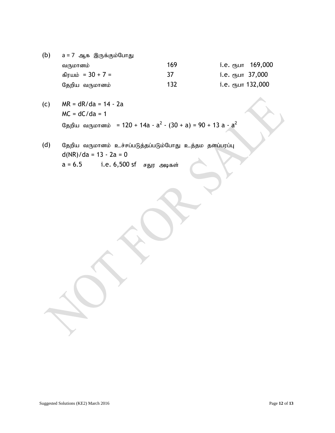- $(b)$  a = 7 ஆக இருக்கும்போது tUkhdk; 169 i.e. &gh 169,000  $f(x) = 30 + 7 = 37$  i.e.  $f(x) = 37$  i.e.  $f(x) = 37$ Njwpa tUkhdk; 132 i.e. &gh 132,000
- (c) MR = dR/da = 14 2a  $MC = dC/da = 1$ தேறிய வருமானம் = 120 + 14a - a $^2$  - (30 + a) = 90 + 13 a - a $^2$
- $(d)$  தேறிய வருமானம் உச்சப்படுத்தப்படும்போது உத்தம தளப்பரப்பு  $d(NR)/da = 13 - 2a = 0$  $a = 6.5$  i.e. 6,500 sf சதுர அடிகள்